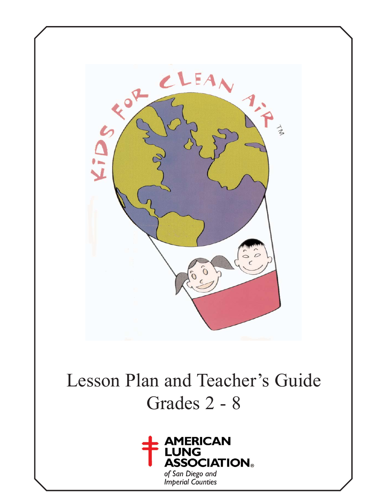

# Lesson Plan and Teacher's Guide Grades 2 - 8



of San Diego and<br>Imperial Counties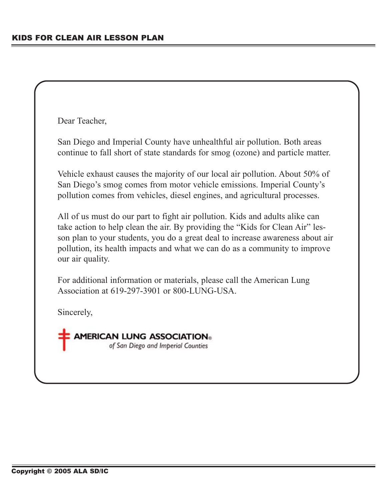Dear Teacher,

San Diego and Imperial County have unhealthful air pollution. Both areas continue to fall short of state standards for smog (ozone) and particle matter.

Vehicle exhaust causes the majority of our local air pollution. About 50% of San Diego's smog comes from motor vehicle emissions. Imperial County's pollution comes from vehicles, diesel engines, and agricultural processes.

All of us must do our part to fight air pollution. Kids and adults alike can take action to help clean the air. By providing the "Kids for Clean Air" lesson plan to your students, you do a great deal to increase awareness about air pollution, its health impacts and what we can do as a community to improve our air quality.

For additional information or materials, please call the American Lung Association at 619-297-3901 or 800-LUNG-USA.

Sincerely,

**AMERICAN LUNG ASSOCIATION®** of San Diego and Imperial Counties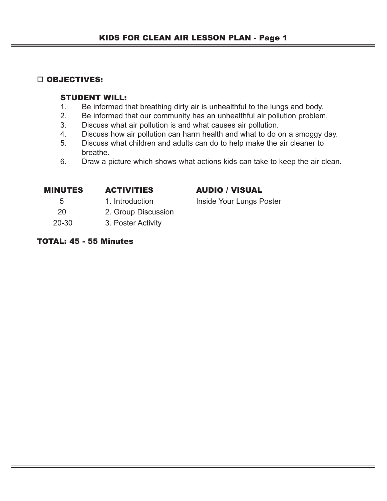## □ OBJECTIVES:

## STUDENT WILL:

- 1. Be informed that breathing dirty air is unhealthful to the lungs and body.
- 2. Be informed that our community has an unhealthful air pollution problem.
- 3. Discuss what air pollution is and what causes air pollution.
- 4. Discuss how air pollution can harm health and what to do on a smoggy day.
- 5. Discuss what children and adults can do to help make the air cleaner to breathe.
- 6. Draw a picture which shows what actions kids can take to keep the air clean.

| <b>MINUTES</b> | <b>ACTIVITIES</b> | <b>AUDIO / VISUAL</b>    |  |
|----------------|-------------------|--------------------------|--|
| -5             | 1. Introduction   | Inside Your Lungs Poster |  |
| $\sim$ $\sim$  | $\sim$ $\sim$     |                          |  |

- 20 2. Group Discussion
- 20-30 3. Poster Activity

## TOTAL: 45 - 55 Minutes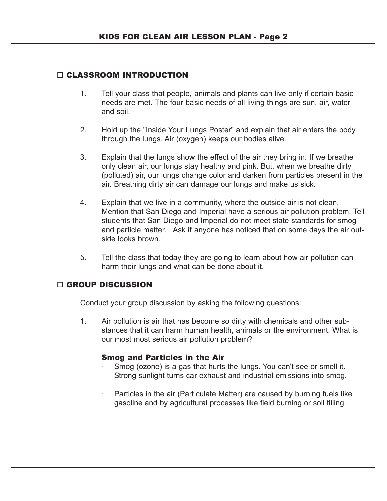## CLASSROOM INTRODUCTION

- 1. Tell your class that people, animals and plants can live only if certain basic needs are met. The four basic needs of all living things are sun, air, water and soil.
- 2. Hold up the "Inside Your Lungs Poster" and explain that air enters the body through the lungs. Air (oxygen) keeps our bodies alive.
- 3. Explain that the lungs show the effect of the air they bring in. If we breathe only clean air, our lungs stay healthy and pink. But, when we breathe dirty (polluted) air, our lungs change color and darken from particles present in the air. Breathing dirty air can damage our lungs and make us sick.
- 4. Explain that we live in a community, where the outside air is not clean. Mention that San Diego and Imperial have a serious air pollution problem. Tell students that San Diego and Imperial do not meet state standards for smog and particle matter. Ask if anyone has noticed that on some days the air outside looks brown.
- 5. Tell the class that today they are going to learn about how air pollution can harm their lungs and what can be done about it.

#### □ GROUP DISCUSSION

Conduct your group discussion by asking the following questions:

1. Air pollution is air that has become so dirty with chemicals and other substances that it can harm human health, animals or the environment. What is our most most serious air pollution problem?

#### Smog and Particles in the Air

- Smog (ozone) is a gas that hurts the lungs. You can't see or smell it. Strong sunlight turns car exhaust and industrial emissions into smog.
- Particles in the air (Particulate Matter) are caused by burning fuels like gasoline and by agricultural processes like field burning or soil tilling.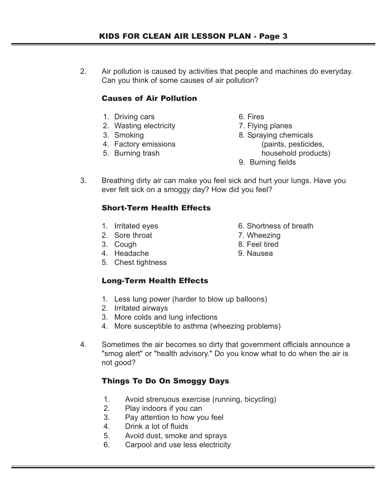2. Air pollution is caused by activities that people and machines do everyday. Can you think of some causes of air pollution?

## Causes of Air Pollution

- 1. Driving cars 6. Fires
- 2. Wasting electricity **7. Flying planes**
- 
- 
- 
- 
- 
- 3. Smoking 8. Spraying chemicals
- 4. Factory emissions (paints, pesticides, 5. Burning trash household products)
	- 9. Burning fields
- 3. Breathing dirty air can make you feel sick and hurt your lungs. Have you ever felt sick on a smoggy day? How did you feel?

## Short-Term Health Effects

- 
- 2. Sore throat 7. Wheezing
- 
- 4. Headache 9. Nausea
- 5. Chest tightness

## Long-Term Health Effects

- 1. Less lung power (harder to blow up balloons)
- 2. Irritated airways
- 3. More colds and lung infections
- 4. More susceptible to asthma (wheezing problems)
- 4. Sometimes the air becomes so dirty that government officials announce a "smog alert" or "health advisory." Do you know what to do when the air is not good?

## Things To Do On Smoggy Days

- 1. Avoid strenuous exercise (running, bicycling)
- 2. Play indoors if you can
- 3. Pay attention to how you feel
- 4. Drink a lot of fluids
- 5. Avoid dust, smoke and sprays
- 6. Carpool and use less electricity
- 1. Irritated eyes 6. Shortness of breath
	-
- 3. Cough 8. Feel tired
	-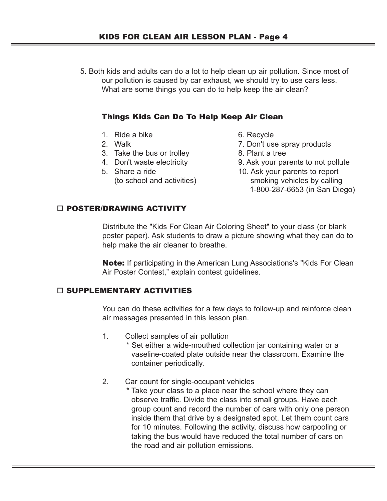5. Both kids and adults can do a lot to help clean up air pollution. Since most of our pollution is caused by car exhaust, we should try to use cars less. What are some things you can do to help keep the air clean?

## Things Kids Can Do To Help Keep Air Clean

- 1. Ride a bike 6. Recycle
- 
- 3. Take the bus or trolley 8. Plant a tree
- 
- 
- 
- 2. Walk 2. Walk 2. Walk 2. Don't use spray products
	-
- 4. Don't waste electricity 9. Ask your parents to not pollute
- 5. Share a ride 10. Ask your parents to report (to school and activities) smoking vehicles by calling 1-800-287-6653 (in San Diego)

## □ POSTER/DRAWING ACTIVITY

Distribute the "Kids For Clean Air Coloring Sheet" to your class (or blank poster paper). Ask students to draw a picture showing what they can do to help make the air cleaner to breathe.

Note: If participating in the American Lung Associations's "Kids For Clean Air Poster Contest," explain contest guidelines.

#### $\Box$  SUPPLEMENTARY ACTIVITIES

You can do these activities for a few days to follow-up and reinforce clean air messages presented in this lesson plan.

1. Collect samples of air pollution

\* Set either a wide-mouthed collection jar containing water or a vaseline-coated plate outside near the classroom. Examine the container periodically.

2. Car count for single-occupant vehicles

\* Take your class to a place near the school where they can observe traffic. Divide the class into small groups. Have each group count and record the number of cars with only one person inside them that drive by a designated spot. Let them count cars for 10 minutes. Following the activity, discuss how carpooling or taking the bus would have reduced the total number of cars on the road and air pollution emissions.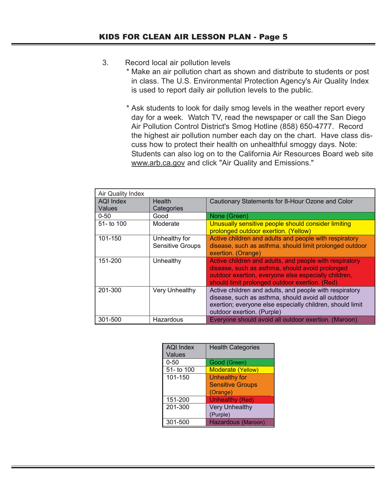## 3. Record local air pollution levels

- \* Make an air pollution chart as shown and distribute to students or post in class. The U.S. Environmental Protection Agency's Air Quality Index is used to report daily air pollution levels to the public.
- \* Ask students to look for daily smog levels in the weather report every day for a week. Watch TV, read the newspaper or call the San Diego Air Pollution Control District's Smog Hotline (858) 650-4777. Record the highest air pollution number each day on the chart. Have class discuss how to protect their health on unhealthful smoggy days. Note: Students can also log on to the California Air Resources Board web site www.arb.ca.gov and click "Air Quality and Emissions."

| Air Quality Index          |                                          |                                                                                                                                                                                                                      |  |
|----------------------------|------------------------------------------|----------------------------------------------------------------------------------------------------------------------------------------------------------------------------------------------------------------------|--|
| AQI Index<br><b>Values</b> | <b>Health</b><br>Categories              | Cautionary Statements for 8-Hour Ozone and Color                                                                                                                                                                     |  |
| $0 - 50$                   | Good                                     | None (Green)                                                                                                                                                                                                         |  |
| $51 -$ to 100              | Moderate                                 | Unusually sensitive people should consider limiting<br>prolonged outdoor exertion. (Yellow)                                                                                                                          |  |
| 101-150                    | Unhealthy for<br><b>Sensitive Groups</b> | Active children and adults and people with respiratory<br>disease, such as asthma, should limit prolonged outdoor<br>exertion. (Orange)                                                                              |  |
| 151-200                    | Unhealthy                                | Active children and adults, and people with respiratory<br>disease, such as asthma, should avoid prolonged<br>outdoor exertion, everyone else especially children,<br>should limit prolonged outdoor exertion. (Red) |  |
| 201-300                    | <b>Very Unhealthy</b>                    | Active children and adults, and people with respiratory<br>disease, such as asthma, should avoid all outdoor<br>exertion; everyone else especially children, should limit<br>outdoor exertion. (Purple)              |  |
| 301-500                    | Hazardous                                | Everyone should avoid all outdoor exertion. (Maroon)                                                                                                                                                                 |  |

| <b>AQI Index</b><br><b>Values</b> | <b>Health Categories</b> |
|-----------------------------------|--------------------------|
| $0 - 50$                          | Good (Green)             |
| 51- to 100                        | <b>Moderate (Yellow)</b> |
| 101-150                           | <b>Unhealthy for</b>     |
|                                   | <b>Sensitive Groups</b>  |
|                                   | (Orange)                 |
| 151-200                           | <b>Unhealthy (Red)</b>   |
| 201-300                           | <b>Very Unhealthy</b>    |
|                                   | (Purple)                 |
| 301-500                           | Hazardous (Maroon)       |